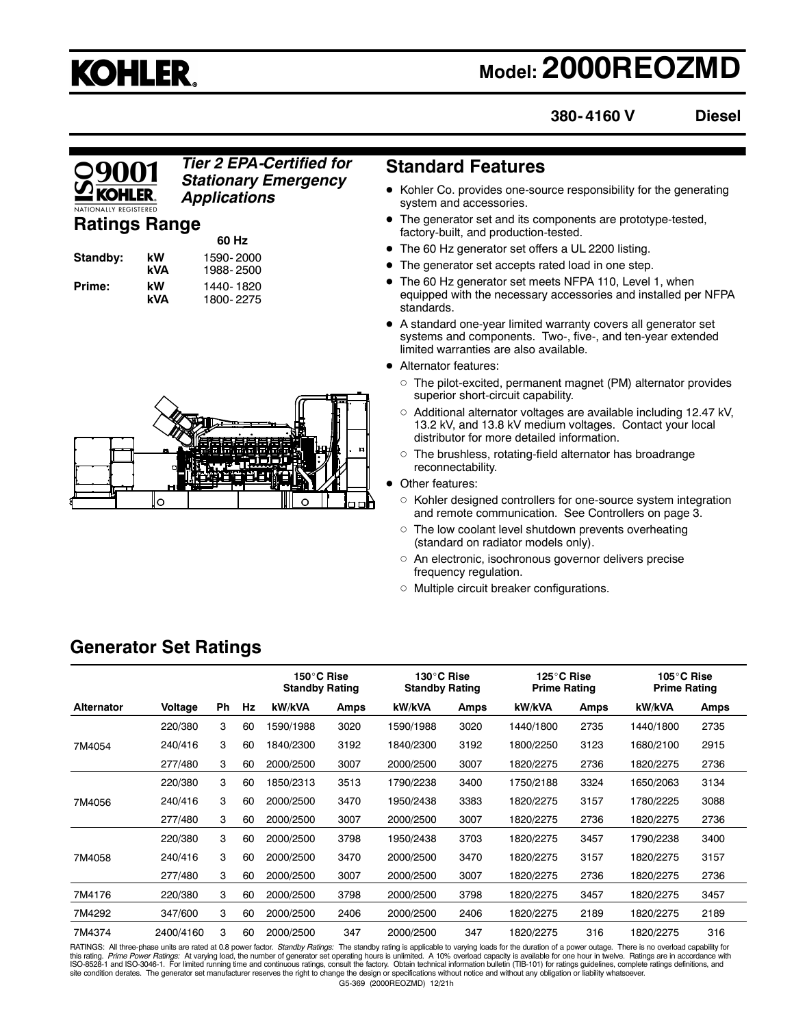# **KOHLER.**

# **Model: 2000REOZMD**

**380- 4160 V**

### **Diesel**

### *Tier 2 EPA-Certified for* **Standard Features** *Stationary Emergency Applications*

### **Ratings Range**

| Standby: | kW<br>kVA |  |
|----------|-----------|--|
| Prime:   | kW<br>kVΔ |  |

**60 Hz Standby: kW** 1590- 2000 **kVA** 1988- 2500 **Prime: kW** 1440- 1820 **kVA** 1800- 2275



- Kohler Co. provides one-source responsibility for the generating system and accessories.
- The generator set and its components are prototype-tested, factory-built, and production-tested.
- The 60 Hz generator set offers a UL 2200 listing.
- The generator set accepts rated load in one step.
- The 60 Hz generator set meets NFPA 110, Level 1, when equipped with the necessary accessories and installed per NFPA standards.
- A standard one-year limited warranty covers all generator set systems and components. Two-, five-, and ten-year extended limited warranties are also available.
- Alternator features:
	- $\circ~$  The pilot-excited, permanent magnet (PM) alternator provides superior short-circuit capability.
	- $\circ~$  Additional alternator voltages are available including 12.47 kV, 13.2 kV, and 13.8 kV medium voltages. Contact your local distributor for more detailed information.
	- $\circ~$  The brushless, rotating-field alternator has broadrange reconnectability.
- Other features:
	- $\circ~$  Kohler designed controllers for one-source system integration and remote communication. See Controllers on page 3.
	- $\circ~$  The low coolant level shutdown prevents overheating (standard on radiator models only).
	- $\circ$  An electronic, isochronous governor delivers precise frequency regulation.
	- Multiple circuit breaker configurations.

|                   |           |           |    | 150°C Rise<br><b>Standby Rating</b> |      | 130°C Rise<br><b>Standby Rating</b> |      | 125°C Rise<br><b>Prime Rating</b> |      | 105°C Rise<br><b>Prime Rating</b> |      |
|-------------------|-----------|-----------|----|-------------------------------------|------|-------------------------------------|------|-----------------------------------|------|-----------------------------------|------|
| <b>Alternator</b> | Voltage   | <b>Ph</b> | Hz | kW/kVA                              | Amps | kW/kVA                              | Amps | kW/kVA                            | Amps | kW/kVA                            | Amps |
|                   | 220/380   | 3         | 60 | 1590/1988                           | 3020 | 1590/1988                           | 3020 | 1440/1800                         | 2735 | 1440/1800                         | 2735 |
| 7M4054            | 240/416   | 3         | 60 | 1840/2300                           | 3192 | 1840/2300                           | 3192 | 1800/2250                         | 3123 | 1680/2100                         | 2915 |
|                   | 277/480   | 3         | 60 | 2000/2500                           | 3007 | 2000/2500                           | 3007 | 1820/2275                         | 2736 | 1820/2275                         | 2736 |
|                   | 220/380   | 3         | 60 | 1850/2313                           | 3513 | 1790/2238                           | 3400 | 1750/2188                         | 3324 | 1650/2063                         | 3134 |
| 7M4056            | 240/416   | 3         | 60 | 2000/2500                           | 3470 | 1950/2438                           | 3383 | 1820/2275                         | 3157 | 1780/2225                         | 3088 |
|                   | 277/480   | 3         | 60 | 2000/2500                           | 3007 | 2000/2500                           | 3007 | 1820/2275                         | 2736 | 1820/2275                         | 2736 |
|                   | 220/380   | 3         | 60 | 2000/2500                           | 3798 | 1950/2438                           | 3703 | 1820/2275                         | 3457 | 1790/2238                         | 3400 |
| 7M4058            | 240/416   | 3         | 60 | 2000/2500                           | 3470 | 2000/2500                           | 3470 | 1820/2275                         | 3157 | 1820/2275                         | 3157 |
|                   | 277/480   | 3         | 60 | 2000/2500                           | 3007 | 2000/2500                           | 3007 | 1820/2275                         | 2736 | 1820/2275                         | 2736 |
| 7M4176            | 220/380   | 3         | 60 | 2000/2500                           | 3798 | 2000/2500                           | 3798 | 1820/2275                         | 3457 | 1820/2275                         | 3457 |
| 7M4292            | 347/600   | 3         | 60 | 2000/2500                           | 2406 | 2000/2500                           | 2406 | 1820/2275                         | 2189 | 1820/2275                         | 2189 |
| 7M4374            | 2400/4160 | 3         | 60 | 2000/2500                           | 347  | 2000/2500                           | 347  | 1820/2275                         | 316  | 1820/2275                         | 316  |

RATINGS: All three-phase units are rated at 0.8 power factor. *Standby Ratings:* The standby rating is applicable to varying loads for the duration of a power outage. There is no overload capability for<br>this rating. Prime

### **Generator Set Ratings**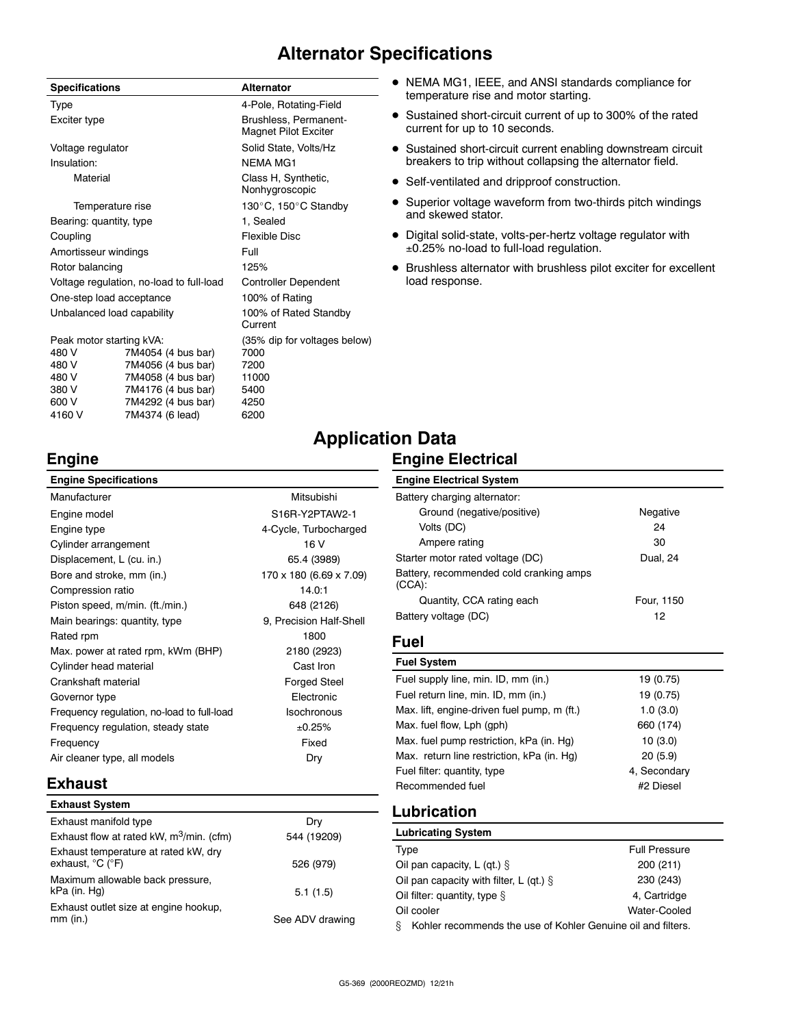### **Alternator Specifications**

| <b>Specifications</b>                    |                    | <b>Alternator</b>                             |  |
|------------------------------------------|--------------------|-----------------------------------------------|--|
| <b>Type</b>                              |                    | 4-Pole, Rotating-Field                        |  |
| Exciter type                             |                    | Brushless, Permanent-<br>Magnet Pilot Exciter |  |
| Voltage regulator                        |                    | Solid State, Volts/Hz                         |  |
| Insulation:                              |                    | <b>NFMA MG1</b>                               |  |
| Material                                 |                    | Class H, Synthetic,<br>Nonhygroscopic         |  |
| Temperature rise                         |                    | 130°C, 150°C Standby                          |  |
| Bearing: quantity, type                  |                    | 1, Sealed                                     |  |
| Coupling                                 |                    | Flexible Disc                                 |  |
| Amortisseur windings                     |                    | Full                                          |  |
| Rotor balancing                          |                    | 125%                                          |  |
| Voltage regulation, no-load to full-load |                    | <b>Controller Dependent</b>                   |  |
| One-step load acceptance                 |                    | 100% of Rating                                |  |
| Unbalanced load capability               |                    | 100% of Rated Standby<br>Current              |  |
| Peak motor starting kVA:                 |                    | (35% dip for voltages below)                  |  |
| 480 V                                    | 7M4054 (4 bus bar) | 7000                                          |  |
| 480 V                                    | 7M4056 (4 bus bar) | 7200                                          |  |
| 480 V                                    | 7M4058 (4 bus bar) | 11000                                         |  |

380 V 7M4176 (4 bus bar) 5400 600 V 7M4292 (4 bus bar) 4250 7M4374 (6 lead)

- NEMA MG1, IEEE, and ANSI standards compliance for temperature rise and motor starting.
- Sustained short-circuit current of up to 300% of the rated current for up to 10 seconds.
- Sustained short-circuit current enabling downstream circuit breakers to trip without collapsing the alternator field.
- Self-ventilated and dripproof construction.
- Superior voltage waveform from two-thirds pitch windings and skewed stator.
- Digital solid-state, volts-per-hertz voltage regulator with ±0.25% no-load to full-load regulation.
- Brushless alternator with brushless pilot exciter for excellent load response.

### **Engine**

## **Application Data Engine Electrical**

| <b>Engine Specifications</b>               |                         |
|--------------------------------------------|-------------------------|
| Manufacturer                               | Mitsubishi              |
| Engine model                               | S16R-Y2PTAW2-1          |
| Engine type                                | 4-Cycle, Turbocharged   |
| Cylinder arrangement                       | 16 V                    |
| Displacement, L (cu. in.)                  | 65.4 (3989)             |
| Bore and stroke, mm (in.)                  | 170 x 180 (6.69 x 7.09) |
| Compression ratio                          | 14.0:1                  |
| Piston speed, m/min. (ft./min.)            | 648 (2126)              |
| Main bearings: quantity, type              | 9, Precision Half-Shell |
| Rated rpm                                  | 1800                    |
| Max. power at rated rpm, kWm (BHP)         | 2180 (2923)             |
| Cylinder head material                     | Cast Iron               |
| Crankshaft material                        | <b>Forged Steel</b>     |
| Governor type                              | Flectronic              |
| Frequency regulation, no-load to full-load | <b>Isochronous</b>      |
| Frequency regulation, steady state         | ±0.25%                  |
| Frequency                                  | Fixed                   |
| Air cleaner type, all models               | Dry                     |

## Battery charging alternator:

**Engine Electrical System**

| Ground (negative/positive)                           | Negative   |
|------------------------------------------------------|------------|
| Volts (DC)                                           | 24         |
| Ampere rating                                        | 30         |
| Starter motor rated voltage (DC)                     | Dual, 24   |
| Battery, recommended cold cranking amps<br>$(CCA)$ : |            |
| Quantity, CCA rating each                            | Four, 1150 |
| Battery voltage (DC)                                 | 12         |

### **Fuel**

| <b>Fuel System</b>                          |              |
|---------------------------------------------|--------------|
| Fuel supply line, min. ID, mm (in.)         | 19 (0.75)    |
| Fuel return line, min. ID, mm (in.)         | 19 (0.75)    |
| Max. lift, engine-driven fuel pump, m (ft.) | 1.0(3.0)     |
| Max. fuel flow, Lph (gph)                   | 660 (174)    |
| Max. fuel pump restriction, kPa (in. Hg)    | 10(3.0)      |
| Max. return line restriction, kPa (in. Hq)  | 20(5.9)      |
| Fuel filter: quantity, type                 | 4. Secondary |
| Recommended fuel                            | #2 Diesel    |

### **Lubrication**

| <b>Lubricating System</b>                                         |                      |
|-------------------------------------------------------------------|----------------------|
| Type                                                              | <b>Full Pressure</b> |
| Oil pan capacity, L (qt.) $\S$                                    | 200 (211)            |
| Oil pan capacity with filter, L (qt.) $\S$                        | 230 (243)            |
| Oil filter: quantity, type $\S$                                   | 4. Cartridge         |
| Oil cooler                                                        | Water-Cooled         |
| ş<br>Kohler recommends the use of Kohler Genuine oil and filters. |                      |

**Exhaust Exhaust System** Exhaust manifold type Dry Exhaust flow at rated kW,  $m^3/m$ in. (cfm) 544 (19209)

| Exhaust flow at rated kW, m <sup>3</sup> /min. (cfm)     | 544 (19209)     |
|----------------------------------------------------------|-----------------|
| Exhaust temperature at rated kW, dry<br>exhaust, °C (°F) | 526 (979)       |
| Maximum allowable back pressure,<br>kPa (in. Hq)         | 5.1(1.5)        |
| Exhaust outlet size at engine hookup,<br>mm (in.)        | See ADV drawing |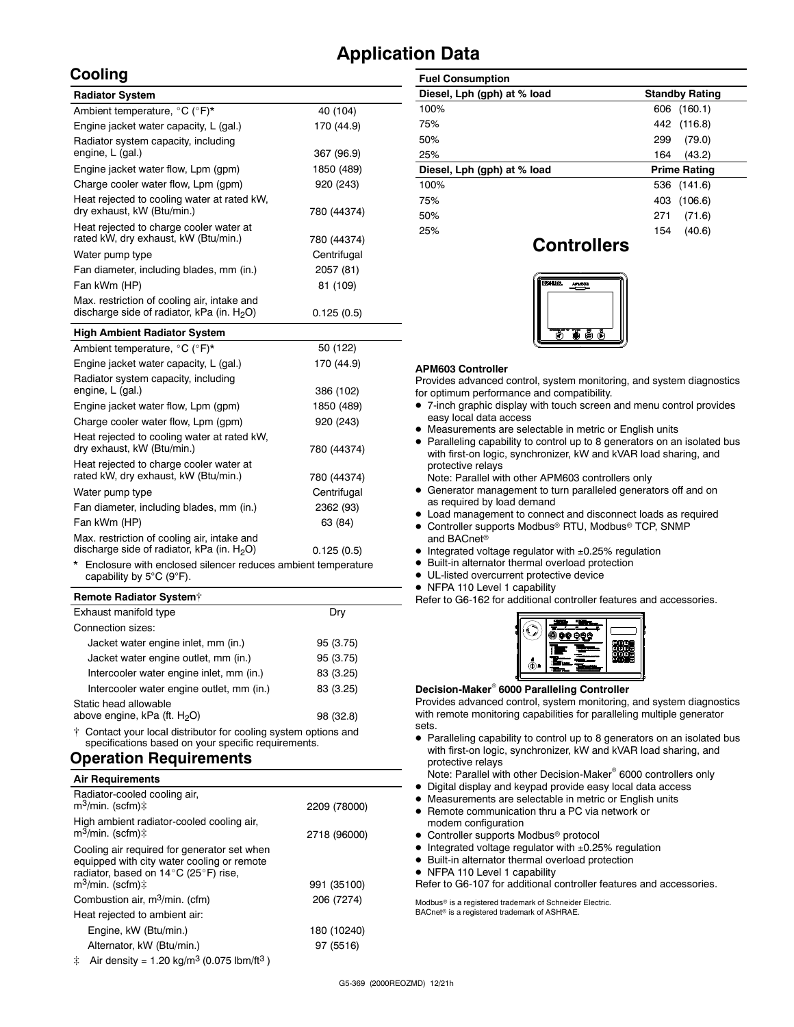### **Application Data**

### **Cooling**

| <b>Radiator System</b>                                                                       |             |
|----------------------------------------------------------------------------------------------|-------------|
| Ambient temperature, °C (°F)*                                                                | 40 (104)    |
| Engine jacket water capacity, L (gal.)                                                       | 170 (44.9)  |
| Radiator system capacity, including<br>engine, L (gal.)                                      | 367 (96.9)  |
| Engine jacket water flow, Lpm (gpm)                                                          | 1850 (489)  |
| Charge cooler water flow, Lpm (gpm)                                                          | 920 (243)   |
| Heat rejected to cooling water at rated kW,<br>dry exhaust, kW (Btu/min.)                    | 780 (44374) |
| Heat rejected to charge cooler water at<br>rated kW, dry exhaust, kW (Btu/min.)              | 780 (44374) |
| Water pump type                                                                              | Centrifugal |
| Fan diameter, including blades, mm (in.)                                                     | 2057 (81)   |
| Fan kWm (HP)                                                                                 | 81 (109)    |
| Max. restriction of cooling air, intake and<br>discharge side of radiator, kPa (in. $H_2O$ ) | 0.125(0.5)  |
| <b>High Ambient Radiator System</b>                                                          |             |

| Ambient temperature, °C (°F)*                                                                | 50 (122)    |
|----------------------------------------------------------------------------------------------|-------------|
| Engine jacket water capacity, L (gal.)                                                       | 170 (44.9)  |
| Radiator system capacity, including<br>engine, L (gal.)                                      | 386 (102)   |
| Engine jacket water flow, Lpm (gpm)                                                          | 1850 (489)  |
| Charge cooler water flow, Lpm (qpm)                                                          | 920 (243)   |
| Heat rejected to cooling water at rated kW,<br>dry exhaust, kW (Btu/min.)                    | 780 (44374) |
| Heat rejected to charge cooler water at<br>rated kW, dry exhaust, kW (Btu/min.)              | 780 (44374) |
| Water pump type                                                                              | Centrifugal |
| Fan diameter, including blades, mm (in.)                                                     | 2362 (93)   |
| Fan kWm (HP)                                                                                 | 63 (84)     |
| Max. restriction of cooling air, intake and<br>discharge side of radiator, kPa (in. $H_2O$ ) | 0.125(0.5)  |

Enclosure with enclosed silencer reduces ambient temperature capability by 5°C (9°F).

### **Remote Radiator System**

| Exhaust manifold type                     | Dry       |
|-------------------------------------------|-----------|
| Connection sizes:                         |           |
| Jacket water engine inlet, mm (in.)       | 95 (3.75) |
| Jacket water engine outlet, mm (in.)      | 95 (3.75) |
| Intercooler water engine inlet, mm (in.)  | 83 (3.25) |
| Intercooler water engine outlet, mm (in.) | 83 (3.25) |
| Static head allowable                     |           |
| above engine, kPa (ft. $H_2O$ )           | 98 (32.8) |

 Contact your local distributor for cooling system options and specifications based on your specific requirements.

### **Operation Requirements**

| <b>Air Requirements</b>                                                                                                                                            |              |
|--------------------------------------------------------------------------------------------------------------------------------------------------------------------|--------------|
| Radiator-cooled cooling air,<br>m <sup>3</sup> /min. (scfm)‡                                                                                                       | 2209 (78000) |
| High ambient radiator-cooled cooling air,<br>$m^3$ /min. (scfm) $\ddagger$                                                                                         | 2718 (96000) |
| Cooling air required for generator set when<br>equipped with city water cooling or remote<br>radiator, based on 14°C (25°F) rise,<br>$m^3$ /min. (scfm) $\ddagger$ | 991 (35100)  |
| Combustion air, m <sup>3</sup> /min. (cfm)                                                                                                                         | 206 (7274)   |
| Heat rejected to ambient air:                                                                                                                                      |              |
| Engine, kW (Btu/min.)                                                                                                                                              | 180 (10240)  |
| Alternator, kW (Btu/min.)                                                                                                                                          | 97 (5516)    |
|                                                                                                                                                                    |              |

| <b>Fuel Consumption</b>     |                       |
|-----------------------------|-----------------------|
| Diesel, Lph (gph) at % load | <b>Standby Rating</b> |
| 100%                        | (160.1)<br>606        |
| 75%                         | 442 (116.8)           |
| 50%                         | (79.0)<br>299         |
| 25%                         | (43.2)<br>164         |
| Diesel, Lph (gph) at % load | <b>Prime Rating</b>   |
| 100%                        | 536 (141.6)           |
| 75%                         | (106.6)<br>403        |
| 50%                         | (71.6)<br>271         |
| 25%                         | (40.6)<br>154         |

### **Controllers**



### **APM603 Controller**

Provides advanced control, system monitoring, and system diagnostics for optimum performance and compatibility.

- 7-inch graphic display with touch screen and menu control provides easy local data access
- Measurements are selectable in metric or English units
- Paralleling capability to control up to 8 generators on an isolated bus with first-on logic, synchronizer, kW and kVAR load sharing, and protective relays

Note: Parallel with other APM603 controllers only

- Generator management to turn paralleled generators off and on as required by load demand
- Load management to connect and disconnect loads as required
- Controller supports Modbus® RTU, Modbus® TCP, SNMP and BACnet<sup>®</sup>
- $\bullet$  Integrated voltage regulator with  $\pm 0.25\%$  regulation
- Built-in alternator thermal overload protection
- UL-listed overcurrent protective device
- NFPA 110 Level 1 capability

Refer to G6-162 for additional controller features and accessories.

| m<br>÷ |  |
|--------|--|
|        |  |
|        |  |

### **Decision-Maker 6000 Paralleling Controller**

Provides advanced control, system monitoring, and system diagnostics with remote monitoring capabilities for paralleling multiple generator sets.

 Paralleling capability to control up to 8 generators on an isolated bus with first-on logic, synchronizer, kW and kVAR load sharing, and protective relays

Note: Parallel with other Decision-Maker<sup>®</sup> 6000 controllers only

- Digital display and keypad provide easy local data access
- Measurements are selectable in metric or English units
- Remote communication thru a PC via network or modem configuration
- Controller supports Modbus<sup>®</sup> protocol
- $\bullet$  Integrated voltage regulator with  $\pm 0.25\%$  regulation
- Built-in alternator thermal overload protection
- NFPA 110 Level 1 capability

Refer to G6-107 for additional controller features and accessories.

Modbus<sup>®</sup> is a registered trademark of Schneider Electric.  $BAC$ net® is a registered trademark of ASHRAE.